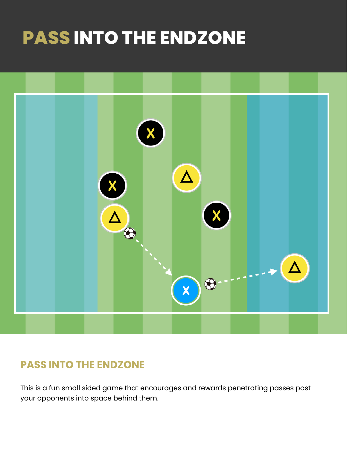# **PASS INTO THE ENDZONE**



#### **PASS INTO THE ENDZONE**

This is a fun small sided game that encourages and rewards penetrating passes past your opponents into space behind them.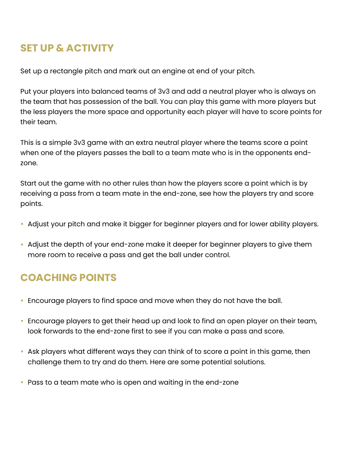### **SET UP & ACTIVITY**

Set up a rectangle pitch and mark out an engine at end of your pitch.

Put your players into balanced teams of 3v3 and add a neutral player who is always on the team that has possession of the ball. You can play this game with more players but the less players the more space and opportunity each player will have to score points for their team.

This is a simple 3v3 game with an extra neutral player where the teams score a point when one of the players passes the ball to a team mate who is in the opponents endzone.

Start out the game with no other rules than how the players score a point which is by receiving a pass from a team mate in the end-zone, see how the players try and score points.

- Adjust your pitch and make it bigger for beginner players and for lower ability players.
- Adjust the depth of your end-zone make it deeper for beginner players to give them more room to receive a pass and get the ball under control.

## **COACHING POINTS**

- Encourage players to find space and move when they do not have the ball.
- Encourage players to get their head up and look to find an open player on their team, look forwards to the end-zone first to see if you can make a pass and score.
- Ask players what different ways they can think of to score a point in this game, then challenge them to try and do them. Here are some potential solutions.
- Pass to a team mate who is open and waiting in the end-zone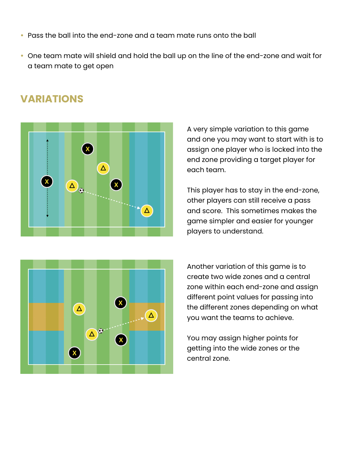- Pass the ball into the end-zone and a team mate runs onto the ball
- One team mate will shield and hold the ball up on the line of the end-zone and wait for a team mate to get open

#### **VARIATIONS**



A very simple variation to this game and one you may want to start with is to assign one player who is locked into the end zone providing a target player for each team.

This player has to stay in the end-zone, other players can still receive a pass and score. This sometimes makes the game simpler and easier for younger players to understand.



Another variation of this game is to create two wide zones and a central zone within each end-zone and assign different point values for passing into the different zones depending on what you want the teams to achieve.

You may assign higher points for getting into the wide zones or the central zone.